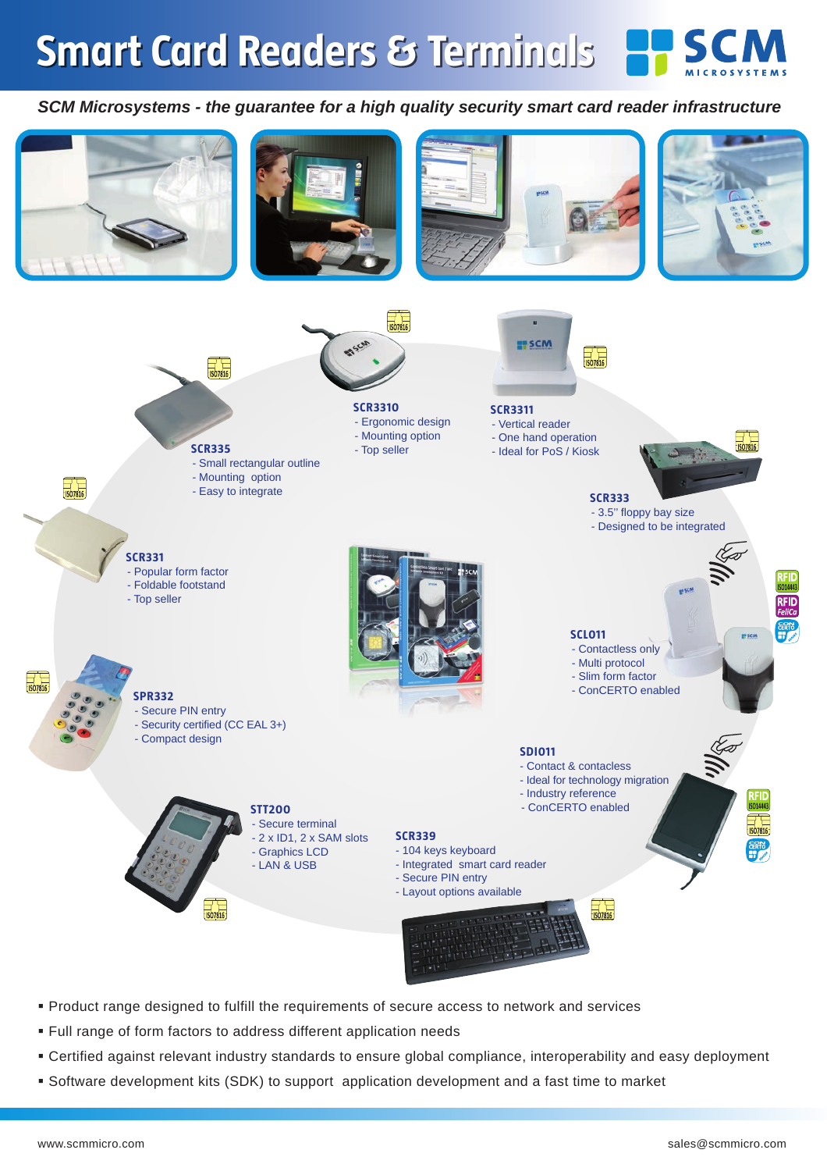## **Smart Card Readers & Terminals**



## *SCM Microsystems - the guarantee for a high quality security smart card reader infrastructure*



- Product range designed to fulfill the requirements of secure access to network and services
- Full range of form factors to address different application needs
- Certified against relevant industry standards to ensure global compliance, interoperability and easy deployment
- Software development kits (SDK) to support application development and a fast time to market